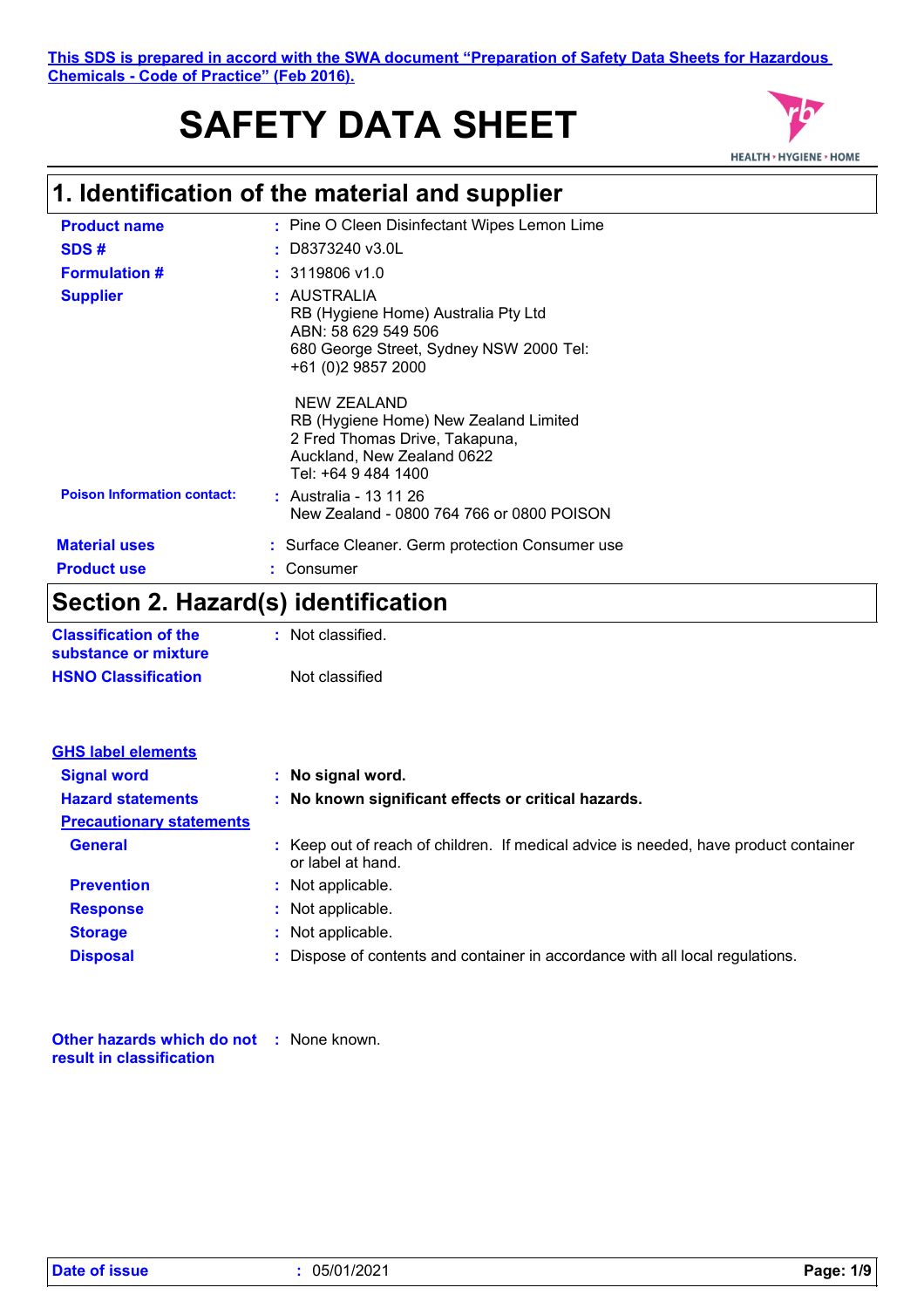# **SAFETY DATA SHEET**



# **1. Identification of the material and supplier**

| <b>Product name</b>                | : Pine O Cleen Disinfectant Wipes Lemon Lime                                                                                                |
|------------------------------------|---------------------------------------------------------------------------------------------------------------------------------------------|
| SDS#                               | $:$ D8373240 v3.0L                                                                                                                          |
| <b>Formulation #</b>               | $: 3119806$ v1.0                                                                                                                            |
| <b>Supplier</b>                    | : AUSTRALIA<br>RB (Hygiene Home) Australia Pty Ltd<br>ABN: 58 629 549 506<br>680 George Street, Sydney NSW 2000 Tel:<br>+61 (0)2 9857 2000  |
|                                    | NEW ZEALAND<br>RB (Hygiene Home) New Zealand Limited<br>2 Fred Thomas Drive, Takapuna,<br>Auckland, New Zealand 0622<br>Tel: +64 9 484 1400 |
| <b>Poison Information contact:</b> | : Australia - 13 11 26<br>New Zealand - 0800 764 766 or 0800 POISON                                                                         |
| <b>Material uses</b>               | : Surface Cleaner. Germ protection Consumer use                                                                                             |
| <b>Product use</b>                 | Consumer                                                                                                                                    |
|                                    |                                                                                                                                             |

### **Section 2. Hazard(s) identification**

| <b>Classification of the</b> | : Not classified. |
|------------------------------|-------------------|
| substance or mixture         |                   |
| <b>HSNO Classification</b>   | Not classified    |

| <b>GHS label elements</b>       |                                                                                                           |
|---------------------------------|-----------------------------------------------------------------------------------------------------------|
| <b>Signal word</b>              | : No signal word.                                                                                         |
| <b>Hazard statements</b>        | : No known significant effects or critical hazards.                                                       |
| <b>Precautionary statements</b> |                                                                                                           |
| <b>General</b>                  | : Keep out of reach of children. If medical advice is needed, have product container<br>or label at hand. |
| <b>Prevention</b>               | : Not applicable.                                                                                         |
| <b>Response</b>                 | : Not applicable.                                                                                         |
| <b>Storage</b>                  | : Not applicable.                                                                                         |
| <b>Disposal</b>                 | : Dispose of contents and container in accordance with all local regulations.                             |

**Other hazards which do not :** None known. **result in classification**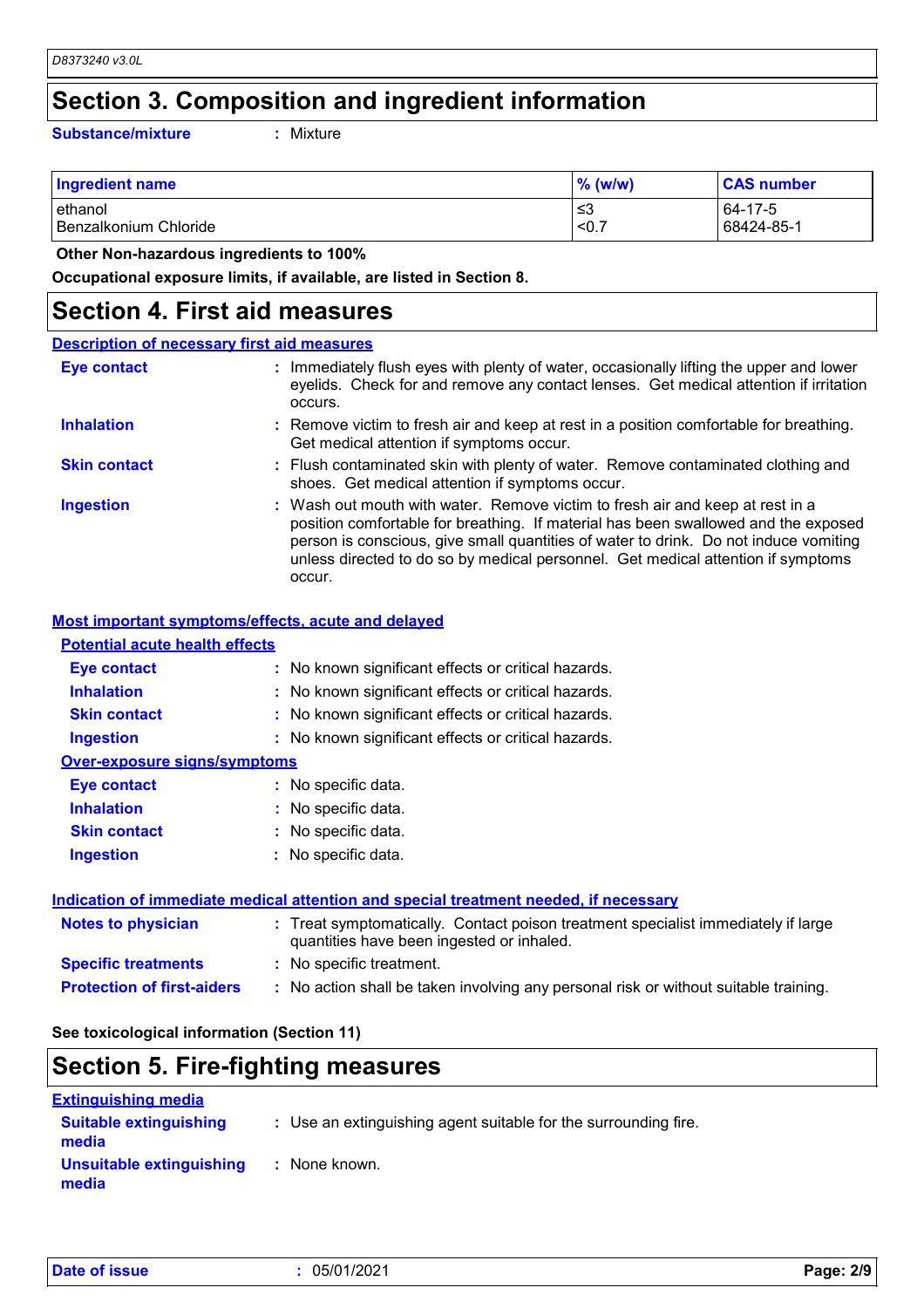## **Section 3. Composition and ingredient information**

**Substance/mixture :**

: Mixture

| <b>Ingredient name</b> | $\%$ (w/w) | <b>CAS number</b> |
|------------------------|------------|-------------------|
| ethanol                | ≤3         | 64-17-5           |
| Benzalkonium Chloride  | < 0.7      | 68424-85-1        |

 **Other Non-hazardous ingredients to 100%**

**Occupational exposure limits, if available, are listed in Section 8.**

### **Section 4. First aid measures**

| <b>Description of necessary first aid measures</b> |                                                                                                                                                                                                                                                                                                                                                           |  |
|----------------------------------------------------|-----------------------------------------------------------------------------------------------------------------------------------------------------------------------------------------------------------------------------------------------------------------------------------------------------------------------------------------------------------|--|
| <b>Eye contact</b>                                 | : Immediately flush eyes with plenty of water, occasionally lifting the upper and lower<br>eyelids. Check for and remove any contact lenses. Get medical attention if irritation<br>occurs.                                                                                                                                                               |  |
| <b>Inhalation</b>                                  | : Remove victim to fresh air and keep at rest in a position comfortable for breathing.<br>Get medical attention if symptoms occur.                                                                                                                                                                                                                        |  |
| <b>Skin contact</b>                                | : Flush contaminated skin with plenty of water. Remove contaminated clothing and<br>shoes. Get medical attention if symptoms occur.                                                                                                                                                                                                                       |  |
| <b>Ingestion</b>                                   | : Wash out mouth with water. Remove victim to fresh air and keep at rest in a<br>position comfortable for breathing. If material has been swallowed and the exposed<br>person is conscious, give small quantities of water to drink. Do not induce vomiting<br>unless directed to do so by medical personnel. Get medical attention if symptoms<br>occur. |  |

#### **Most important symptoms/effects, acute and delayed**

| <b>Potential acute health effects</b> |                                                     |  |
|---------------------------------------|-----------------------------------------------------|--|
| Eye contact                           | : No known significant effects or critical hazards. |  |
| <b>Inhalation</b>                     | : No known significant effects or critical hazards. |  |
| <b>Skin contact</b>                   | : No known significant effects or critical hazards. |  |
| <b>Ingestion</b>                      | : No known significant effects or critical hazards. |  |
| <b>Over-exposure signs/symptoms</b>   |                                                     |  |
| Eye contact                           | : No specific data.                                 |  |
| <b>Inhalation</b>                     | : No specific data.                                 |  |
| <b>Skin contact</b>                   | : No specific data.                                 |  |
| <b>Ingestion</b>                      | : No specific data.                                 |  |
|                                       |                                                     |  |
|                                       |                                                     |  |

| Indication of immediate medical attention and special treatment needed, if necessary |                                                                                                                                |  |
|--------------------------------------------------------------------------------------|--------------------------------------------------------------------------------------------------------------------------------|--|
| Notes to physician                                                                   | : Treat symptomatically. Contact poison treatment specialist immediately if large<br>quantities have been ingested or inhaled. |  |
| <b>Specific treatments</b>                                                           | : No specific treatment.                                                                                                       |  |
| <b>Protection of first-aiders</b>                                                    | : No action shall be taken involving any personal risk or without suitable training.                                           |  |

**See toxicological information (Section 11)**

### **Section 5. Fire-fighting measures**

| <b>Extinguishing media</b>             |                                                                 |  |
|----------------------------------------|-----------------------------------------------------------------|--|
| <b>Suitable extinguishing</b><br>media | : Use an extinguishing agent suitable for the surrounding fire. |  |
| Unsuitable extinguishing<br>media      | : None known.                                                   |  |

|  | <b>Date of issue</b> |
|--|----------------------|
|  |                      |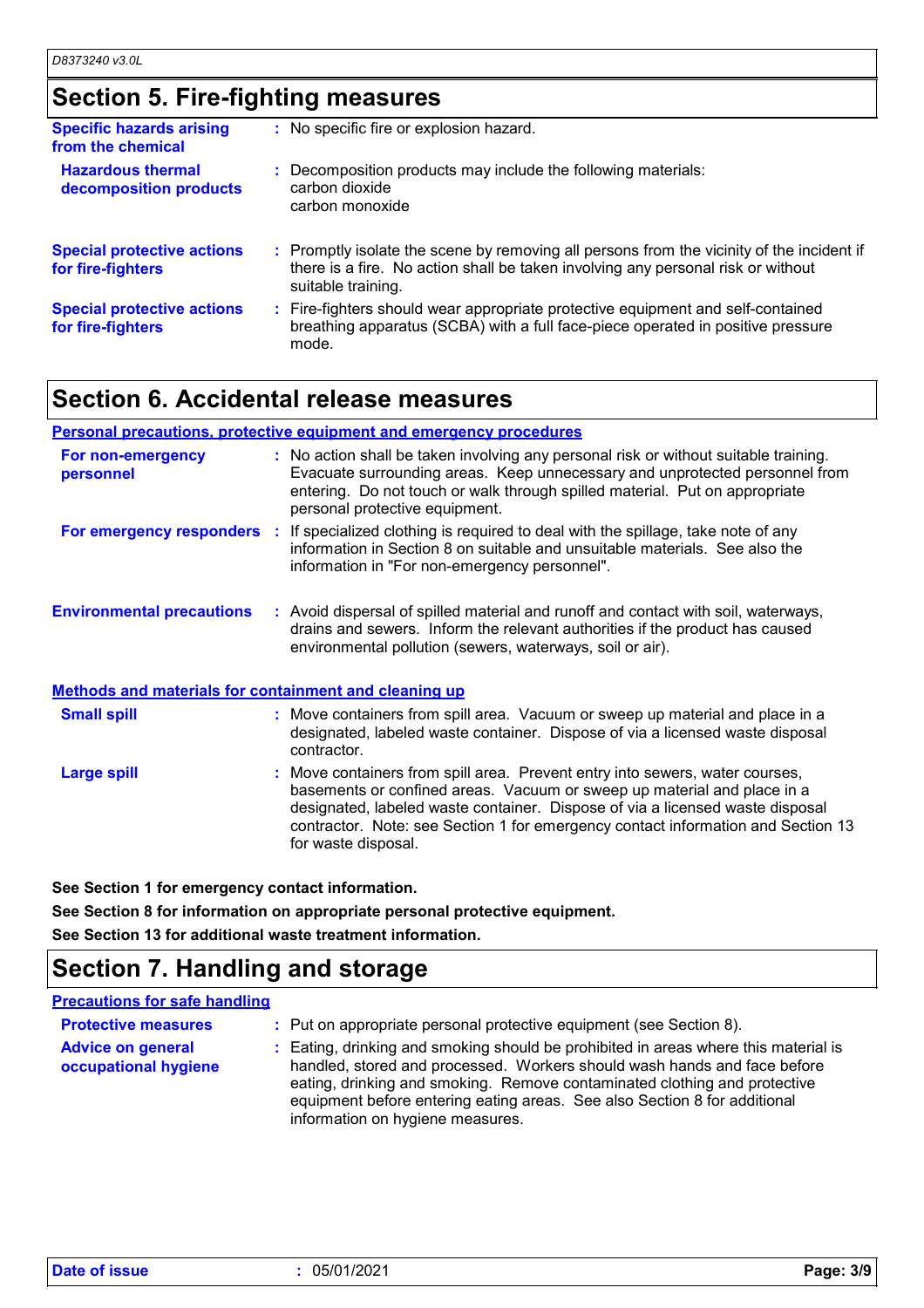# **Section 5. Fire-fighting measures**

| <b>Specific hazards arising</b><br>from the chemical   | : No specific fire or explosion hazard.                                                                                                                                                             |
|--------------------------------------------------------|-----------------------------------------------------------------------------------------------------------------------------------------------------------------------------------------------------|
| <b>Hazardous thermal</b><br>decomposition products     | : Decomposition products may include the following materials:<br>carbon dioxide<br>carbon monoxide                                                                                                  |
| <b>Special protective actions</b><br>for fire-fighters | : Promptly isolate the scene by removing all persons from the vicinity of the incident if<br>there is a fire. No action shall be taken involving any personal risk or without<br>suitable training. |
| <b>Special protective actions</b><br>for fire-fighters | : Fire-fighters should wear appropriate protective equipment and self-contained<br>breathing apparatus (SCBA) with a full face-piece operated in positive pressure<br>mode.                         |

### **Section 6. Accidental release measures**

#### **Personal precautions, protective equipment and emergency procedures**

| For non-emergency<br>personnel                               | : No action shall be taken involving any personal risk or without suitable training.<br>Evacuate surrounding areas. Keep unnecessary and unprotected personnel from<br>entering. Do not touch or walk through spilled material. Put on appropriate<br>personal protective equipment. |
|--------------------------------------------------------------|--------------------------------------------------------------------------------------------------------------------------------------------------------------------------------------------------------------------------------------------------------------------------------------|
| For emergency responders                                     | If specialized clothing is required to deal with the spillage, take note of any<br>Æ.<br>information in Section 8 on suitable and unsuitable materials. See also the<br>information in "For non-emergency personnel".                                                                |
| <b>Environmental precautions</b>                             | : Avoid dispersal of spilled material and runoff and contact with soil, waterways,<br>drains and sewers. Inform the relevant authorities if the product has caused<br>environmental pollution (sewers, waterways, soil or air).                                                      |
| <b>Methods and materials for containment and cleaning up</b> |                                                                                                                                                                                                                                                                                      |
| <b>Small spill</b>                                           | : Move containers from spill area. Vacuum or sweep up material and place in a<br>designated, labeled waste container. Dispose of via a licensed waste disposal                                                                                                                       |

Move containers from spill area. Prevent entry into sewers, water courses, basements or confined areas. Vacuum or sweep up material and place in a designated, labeled waste container. Dispose of via a licensed waste disposal contractor. Note: see Section 1 for emergency contact information and Section 13 for waste disposal. **Large spill :** contractor.

**See Section 1 for emergency contact information.**

**See Section 8 for information on appropriate personal protective equipment. See Section 13 for additional waste treatment information.**

# **Section 7. Handling and storage**

#### **Precautions for safe handling**

| <b>Protective measures</b><br><b>Advice on general</b><br>occupational hygiene | : Put on appropriate personal protective equipment (see Section 8).<br>: Eating, drinking and smoking should be prohibited in areas where this material is<br>handled, stored and processed. Workers should wash hands and face before<br>eating, drinking and smoking. Remove contaminated clothing and protective<br>equipment before entering eating areas. See also Section 8 for additional |
|--------------------------------------------------------------------------------|--------------------------------------------------------------------------------------------------------------------------------------------------------------------------------------------------------------------------------------------------------------------------------------------------------------------------------------------------------------------------------------------------|
|                                                                                | information on hygiene measures.                                                                                                                                                                                                                                                                                                                                                                 |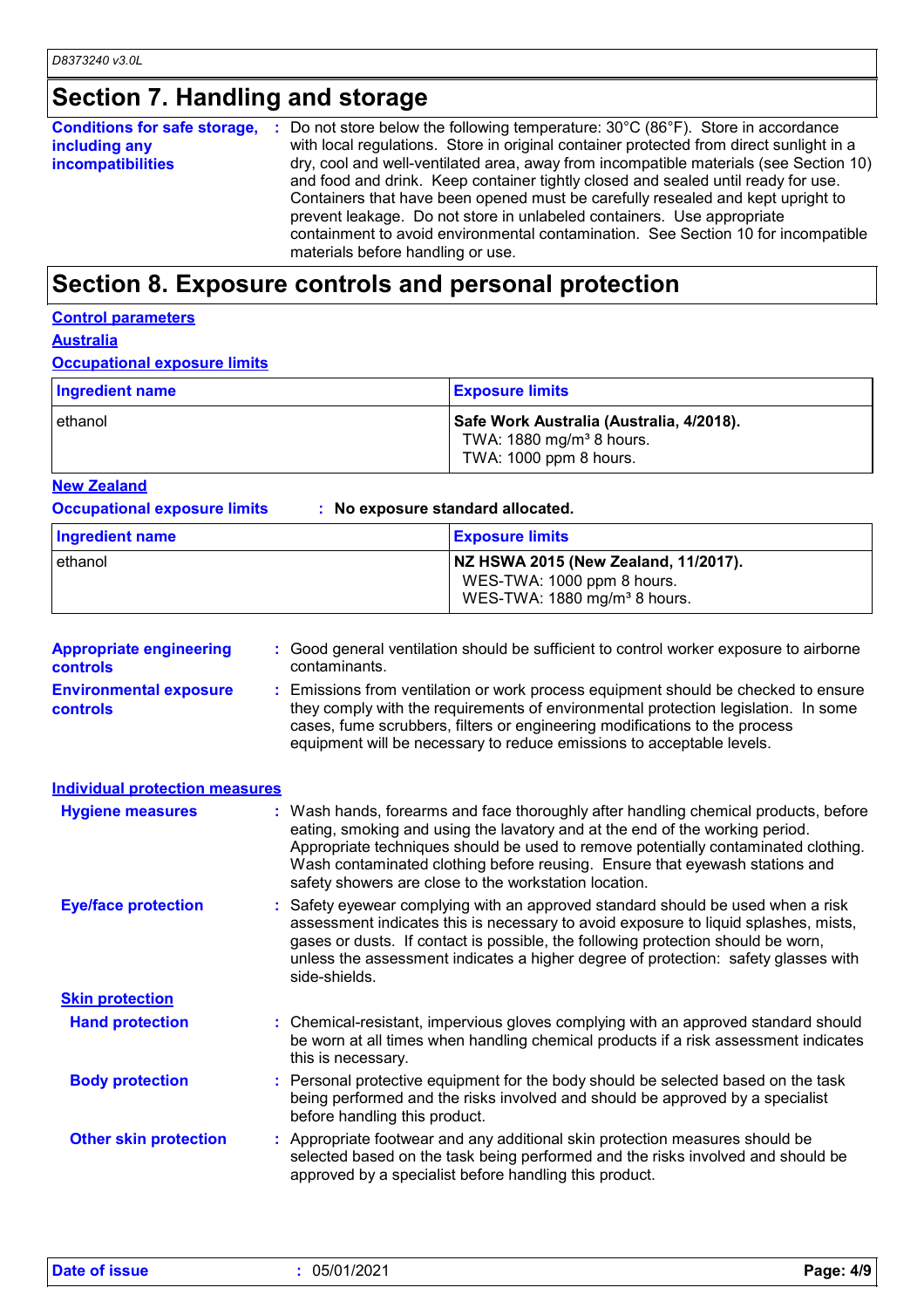# **Section 7. Handling and storage**

| Conditions for safe storage, : | Do not store below the following temperature: $30^{\circ}$ C (86 $^{\circ}$ F). Store in accordance |
|--------------------------------|-----------------------------------------------------------------------------------------------------|
| including any                  | with local regulations. Store in original container protected from direct sunlight in a             |
| incompatibilities              | dry, cool and well-ventilated area, away from incompatible materials (see Section 10)               |
|                                | and food and drink. Keep container tightly closed and sealed until ready for use.                   |
|                                | Containers that have been opened must be carefully resealed and kept upright to                     |
|                                | prevent leakage. Do not store in unlabeled containers. Use appropriate                              |
|                                | containment to avoid environmental contamination. See Section 10 for incompatible                   |
|                                | materials before handling or use.                                                                   |

## **Section 8. Exposure controls and personal protection**

### **Control parameters**

**Australia**

#### **Occupational exposure limits**

| Ingredient name | <b>Exposure limits</b>                                                                                     |
|-----------------|------------------------------------------------------------------------------------------------------------|
| ethanol         | Safe Work Australia (Australia, 4/2018).<br>TWA: 1880 mg/m <sup>3</sup> 8 hours.<br>TWA: 1000 ppm 8 hours. |

#### **New Zealand**

**Occupational exposure limits : No exposure standard allocated.**

| Ingredient name | <b>Exposure limits</b>                                                                                         |
|-----------------|----------------------------------------------------------------------------------------------------------------|
| ethanol         | NZ HSWA 2015 (New Zealand, 11/2017).<br>WES-TWA: 1000 ppm 8 hours.<br>WES-TWA: 1880 mg/m <sup>3</sup> 8 hours. |

| <b>Appropriate engineering</b><br><b>controls</b> | : Good general ventilation should be sufficient to control worker exposure to airborne<br>contaminants.                                                                                                                                                                                                                                                                                           |  |  |
|---------------------------------------------------|---------------------------------------------------------------------------------------------------------------------------------------------------------------------------------------------------------------------------------------------------------------------------------------------------------------------------------------------------------------------------------------------------|--|--|
| <b>Environmental exposure</b><br>controls         | : Emissions from ventilation or work process equipment should be checked to ensure<br>they comply with the requirements of environmental protection legislation. In some<br>cases, fume scrubbers, filters or engineering modifications to the process<br>equipment will be necessary to reduce emissions to acceptable levels.                                                                   |  |  |
| <b>Individual protection measures</b>             |                                                                                                                                                                                                                                                                                                                                                                                                   |  |  |
| <b>Hygiene measures</b>                           | : Wash hands, forearms and face thoroughly after handling chemical products, before<br>eating, smoking and using the lavatory and at the end of the working period.<br>Appropriate techniques should be used to remove potentially contaminated clothing.<br>Wash contaminated clothing before reusing. Ensure that eyewash stations and<br>safety showers are close to the workstation location. |  |  |
| <b>Eye/face protection</b>                        | : Safety eyewear complying with an approved standard should be used when a risk<br>assessment indicates this is necessary to avoid exposure to liquid splashes, mists,<br>gases or dusts. If contact is possible, the following protection should be worn,<br>unless the assessment indicates a higher degree of protection: safety glasses with<br>side-shields.                                 |  |  |
| <b>Skin protection</b>                            |                                                                                                                                                                                                                                                                                                                                                                                                   |  |  |
| <b>Hand protection</b>                            | : Chemical-resistant, impervious gloves complying with an approved standard should<br>be worn at all times when handling chemical products if a risk assessment indicates<br>this is necessary.                                                                                                                                                                                                   |  |  |
| <b>Body protection</b>                            | : Personal protective equipment for the body should be selected based on the task<br>being performed and the risks involved and should be approved by a specialist<br>before handling this product.                                                                                                                                                                                               |  |  |
| <b>Other skin protection</b>                      | : Appropriate footwear and any additional skin protection measures should be<br>selected based on the task being performed and the risks involved and should be<br>approved by a specialist before handling this product.                                                                                                                                                                         |  |  |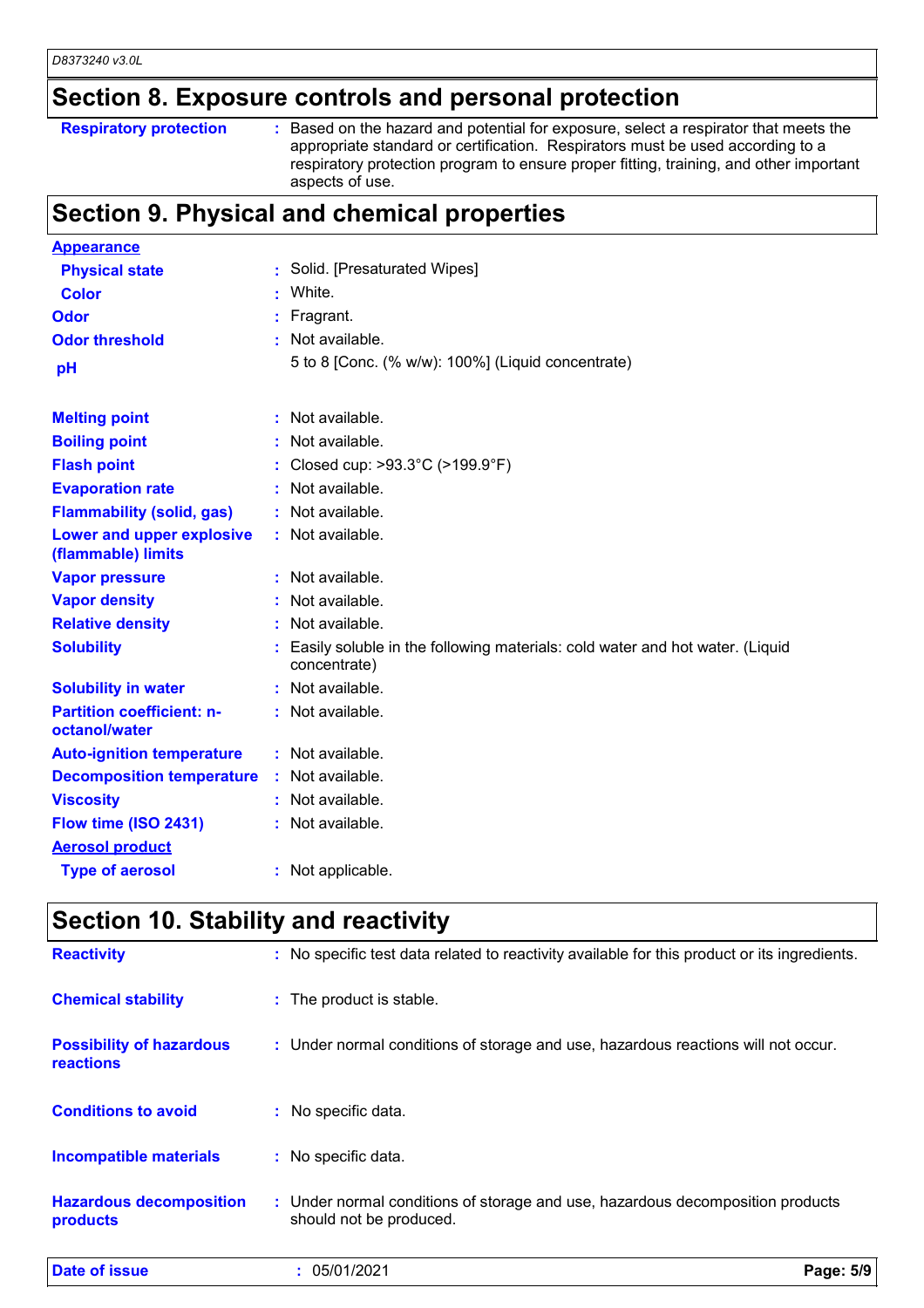# **Section 8. Exposure controls and personal protection**

**Respiratory protection** : Based on the hazard and potential for exposure, select a respirator that meets the appropriate standard or certification. Respirators must be used according to a respiratory protection program to ensure proper fitting, training, and other important aspects of use.

### **Section 9. Physical and chemical properties**

| <b>Appearance</b>                                 |                                                                                              |
|---------------------------------------------------|----------------------------------------------------------------------------------------------|
| <b>Physical state</b>                             | Solid. [Presaturated Wipes]                                                                  |
| <b>Color</b>                                      | White.                                                                                       |
| Odor                                              | Fragrant.                                                                                    |
| <b>Odor threshold</b>                             | : Not available.                                                                             |
| pH                                                | 5 to 8 [Conc. (% w/w): 100%] (Liquid concentrate)                                            |
|                                                   |                                                                                              |
| <b>Melting point</b>                              | : Not available.                                                                             |
| <b>Boiling point</b>                              | : Not available.                                                                             |
| <b>Flash point</b>                                | Closed cup: >93.3°C (>199.9°F)                                                               |
| <b>Evaporation rate</b>                           | : Not available.                                                                             |
| <b>Flammability (solid, gas)</b>                  | : Not available.                                                                             |
| Lower and upper explosive<br>(flammable) limits   | : Not available.                                                                             |
| <b>Vapor pressure</b>                             | : Not available.                                                                             |
| <b>Vapor density</b>                              | : Not available.                                                                             |
| <b>Relative density</b>                           | : Not available.                                                                             |
| <b>Solubility</b>                                 | Easily soluble in the following materials: cold water and hot water. (Liquid<br>concentrate) |
| <b>Solubility in water</b>                        | : Not available.                                                                             |
| <b>Partition coefficient: n-</b><br>octanol/water | : Not available.                                                                             |
| <b>Auto-ignition temperature</b>                  | : Not available.                                                                             |
| <b>Decomposition temperature</b>                  | : Not available.                                                                             |
| <b>Viscosity</b>                                  | : Not available.                                                                             |
| Flow time (ISO 2431)                              | : Not available.                                                                             |
| <b>Aerosol product</b>                            |                                                                                              |
| <b>Type of aerosol</b>                            | : Not applicable.                                                                            |

# **Section 10. Stability and reactivity**

| <b>Date of issue</b>                                | 05/01/2021                                                                                                | Page: 5/9 |
|-----------------------------------------------------|-----------------------------------------------------------------------------------------------------------|-----------|
| <b>Hazardous decomposition</b><br>products          | : Under normal conditions of storage and use, hazardous decomposition products<br>should not be produced. |           |
| <b>Incompatible materials</b>                       | : No specific data.                                                                                       |           |
| <b>Conditions to avoid</b>                          | : No specific data.                                                                                       |           |
| <b>Possibility of hazardous</b><br><b>reactions</b> | : Under normal conditions of storage and use, hazardous reactions will not occur.                         |           |
| <b>Chemical stability</b>                           | : The product is stable.                                                                                  |           |
| <b>Reactivity</b>                                   | : No specific test data related to reactivity available for this product or its ingredients.              |           |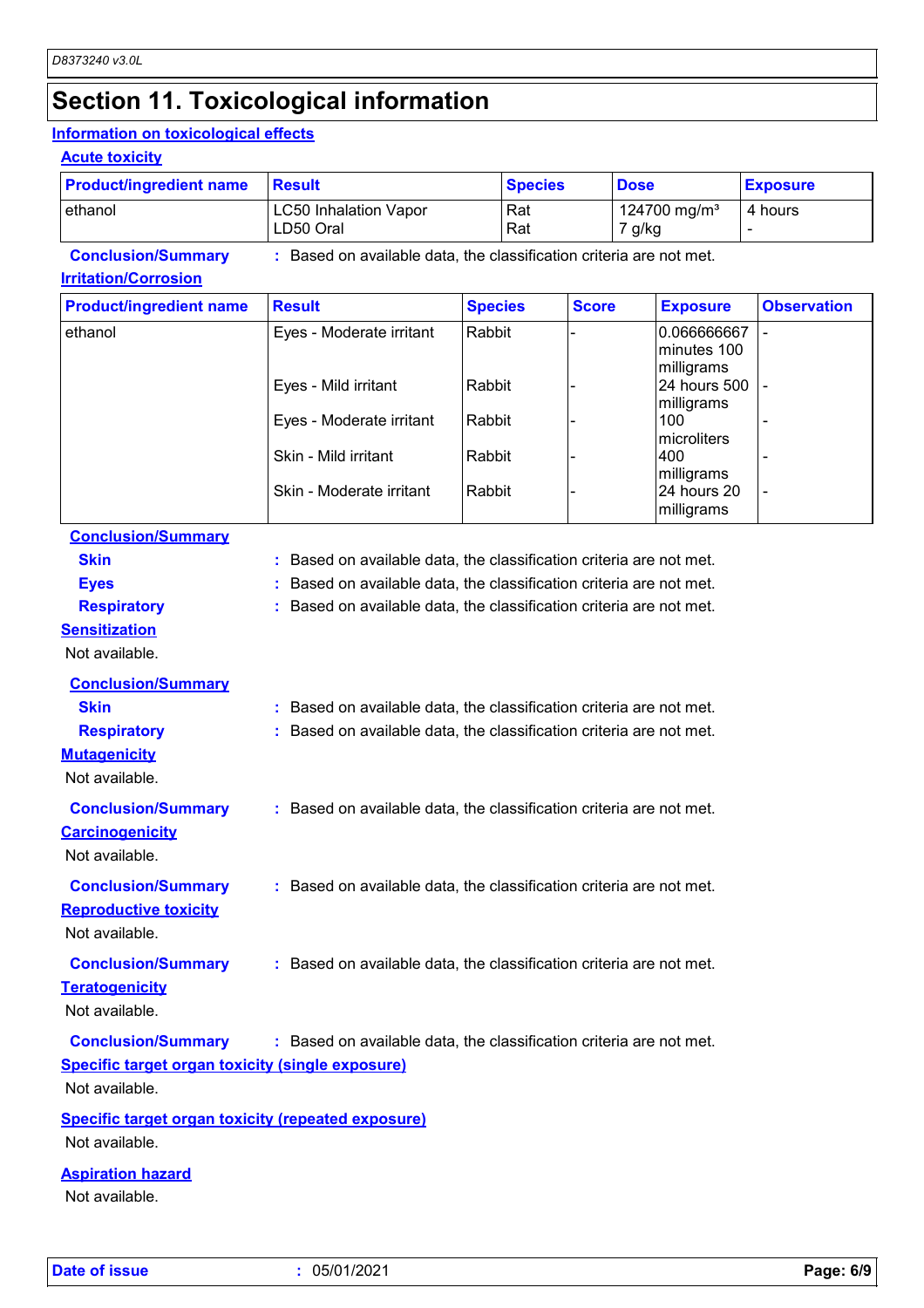# **Section 11. Toxicological information**

#### **Information on toxicological effects**

#### **Acute toxicity**

| <b>Product/ingredient name</b> | <b>Result</b>                                                     | <b>Species</b> | <b>Dose</b>                        | <b>Exposure</b> |
|--------------------------------|-------------------------------------------------------------------|----------------|------------------------------------|-----------------|
| lethanol                       | <b>LC50 Inhalation Vapor</b><br>LD50 Oral                         | l Rat<br>  Rat | 124700 mg/m <sup>3</sup><br>7 g/kg | 4 hours         |
| <b>Conclusion/Summary</b>      | Based on available data, the classification criteria are not met. |                |                                    |                 |

#### **Irritation/Corrosion**

| <b>Product/ingredient name</b> | <b>Result</b>            | <b>Species</b> | <b>Score</b> | <b>Exposure</b>                          | <b>Observation</b> |
|--------------------------------|--------------------------|----------------|--------------|------------------------------------------|--------------------|
| ethanol                        | Eyes - Moderate irritant | Rabbit         |              | 0.066666667<br>minutes 100<br>milligrams |                    |
|                                | Eyes - Mild irritant     | Rabbit         |              | 24 hours 500<br>milligrams               |                    |
|                                | Eyes - Moderate irritant | Rabbit         |              | 100<br>microliters                       |                    |
|                                | Skin - Mild irritant     | Rabbit         |              | 400<br>milligrams                        |                    |
|                                | Skin - Moderate irritant | Rabbit         |              | 24 hours 20<br>milligrams                |                    |

### **Conclusion/Summary**

| <b>Skin</b>                                               | : Based on available data, the classification criteria are not met. |
|-----------------------------------------------------------|---------------------------------------------------------------------|
| <b>Eyes</b>                                               | Based on available data, the classification criteria are not met.   |
| <b>Respiratory</b>                                        | : Based on available data, the classification criteria are not met. |
| <b>Sensitization</b>                                      |                                                                     |
| Not available.                                            |                                                                     |
| <b>Conclusion/Summary</b>                                 |                                                                     |
| <b>Skin</b>                                               | : Based on available data, the classification criteria are not met. |
| <b>Respiratory</b>                                        | : Based on available data, the classification criteria are not met. |
| <b>Mutagenicity</b>                                       |                                                                     |
| Not available.                                            |                                                                     |
| <b>Conclusion/Summary</b>                                 | : Based on available data, the classification criteria are not met. |
| <b>Carcinogenicity</b>                                    |                                                                     |
| Not available.                                            |                                                                     |
| <b>Conclusion/Summary</b>                                 | : Based on available data, the classification criteria are not met. |
| <b>Reproductive toxicity</b>                              |                                                                     |
| Not available.                                            |                                                                     |
|                                                           |                                                                     |
| <b>Conclusion/Summary</b>                                 | : Based on available data, the classification criteria are not met. |
| <b>Teratogenicity</b>                                     |                                                                     |
| Not available.                                            |                                                                     |
| <b>Conclusion/Summary</b>                                 | : Based on available data, the classification criteria are not met. |
| <b>Specific target organ toxicity (single exposure)</b>   |                                                                     |
| Not available.                                            |                                                                     |
| <b>Specific target organ toxicity (repeated exposure)</b> |                                                                     |
| Not available.                                            |                                                                     |

#### **Aspiration hazard**

Not available.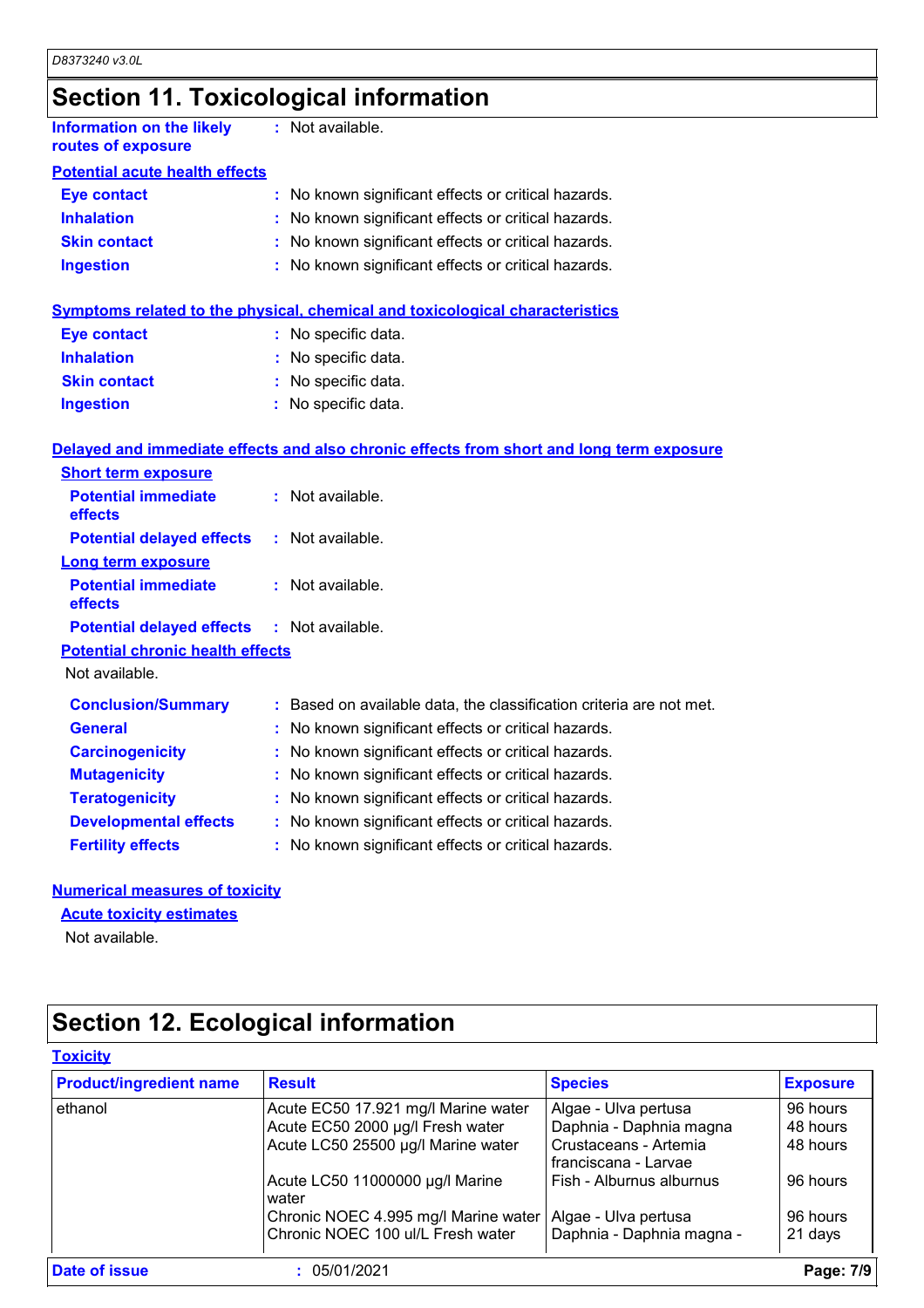# **Section 11. Toxicological information**

| Information on the likely<br>routes of exposure | : Not available.                                    |
|-------------------------------------------------|-----------------------------------------------------|
| <b>Potential acute health effects</b>           |                                                     |
| <b>Eye contact</b>                              | : No known significant effects or critical hazards. |
| <b>Inhalation</b>                               | : No known significant effects or critical hazards. |
| <b>Skin contact</b>                             | : No known significant effects or critical hazards. |
| <b>Ingestion</b>                                | : No known significant effects or critical hazards. |
|                                                 |                                                     |

|                    | Symptoms related to the physical, chemical and toxicological characteristics |  |
|--------------------|------------------------------------------------------------------------------|--|
| <b>Eve contact</b> | : No specific data.                                                          |  |

| <b>Inhalation</b>   | : No specific data. |
|---------------------|---------------------|
| <b>Skin contact</b> | : No specific data. |
| <b>Ingestion</b>    | : No specific data. |

#### **Delayed and immediate effects and also chronic effects from short and long term exposure**

| <b>Short term exposure</b>                        |                                                                     |
|---------------------------------------------------|---------------------------------------------------------------------|
| <b>Potential immediate</b><br><b>effects</b>      | $:$ Not available.                                                  |
| <b>Potential delayed effects</b>                  | $:$ Not available.                                                  |
| Long term exposure                                |                                                                     |
| <b>Potential immediate</b><br><b>effects</b>      | $:$ Not available.                                                  |
| <b>Potential delayed effects : Not available.</b> |                                                                     |
| <b>Potential chronic health effects</b>           |                                                                     |
| Not available.                                    |                                                                     |
| <b>Conclusion/Summary</b>                         | : Based on available data, the classification criteria are not met. |
| <b>General</b>                                    | : No known significant effects or critical hazards.                 |
| <b>Carcinogenicity</b>                            | : No known significant effects or critical hazards.                 |
| <b>Mutagenicity</b>                               | : No known significant effects or critical hazards.                 |
| <b>Teratogenicity</b>                             | : No known significant effects or critical hazards.                 |
| <b>Developmental effects</b>                      | : No known significant effects or critical hazards.                 |
| <b>Fertility effects</b>                          | : No known significant effects or critical hazards.                 |

#### **Numerical measures of toxicity**

#### **Acute toxicity estimates**

Not available.

# **Section 12. Ecological information**

| <b>Product/ingredient name</b> | <b>Result</b>                            | <b>Species</b>                                | <b>Exposure</b> |
|--------------------------------|------------------------------------------|-----------------------------------------------|-----------------|
| ethanol                        | Acute EC50 17.921 mg/l Marine water      | Algae - Ulva pertusa                          | 96 hours        |
|                                | Acute EC50 2000 µg/l Fresh water         | Daphnia - Daphnia magna                       | 48 hours        |
|                                | Acute LC50 25500 µg/l Marine water       | Crustaceans - Artemia<br>franciscana - Larvae | 48 hours        |
|                                | Acute LC50 11000000 µg/l Marine<br>water | Fish - Alburnus alburnus                      | 96 hours        |
|                                | Chronic NOEC 4.995 mg/l Marine water     | Algae - Ulva pertusa                          | 96 hours        |
|                                | Chronic NOEC 100 ul/L Fresh water        | Daphnia - Daphnia magna -                     | 21 days         |
| Date of issue                  | 05/01/2021                               |                                               | Page: 7/9       |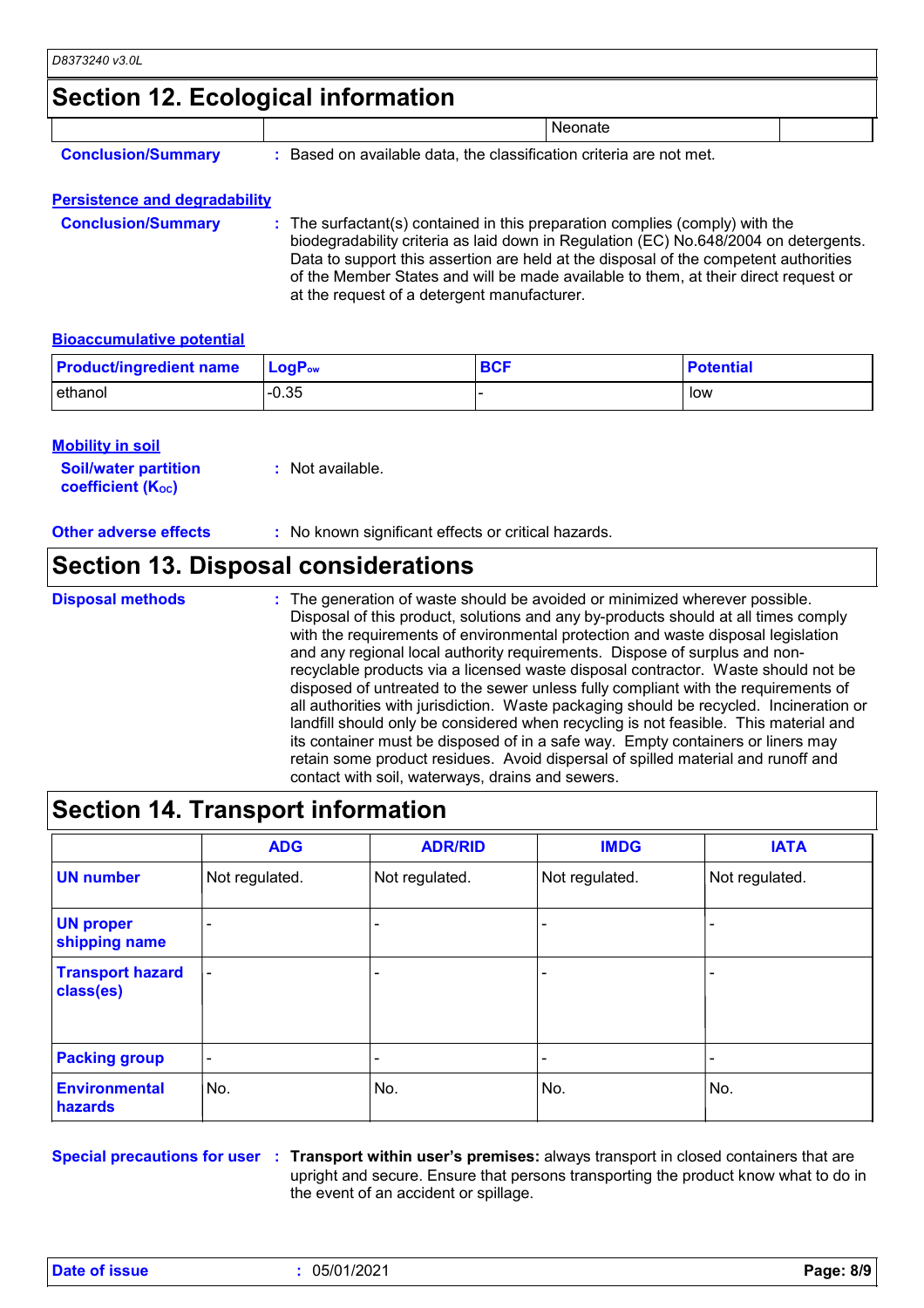### **Section 12. Ecological information**

|                           |                                                                   | <b>Neonate</b> |  |
|---------------------------|-------------------------------------------------------------------|----------------|--|
| <b>Conclusion/Summary</b> | Based on available data, the classification criteria are not met. |                |  |

# **Persistence and degradability**

**Conclusion/Summary :** The surfactant(s) contained in this preparation complies (comply) with the biodegradability criteria as laid down in Regulation (EC) No.648/2004 on detergents. Data to support this assertion are held at the disposal of the competent authorities of the Member States and will be made available to them, at their direct request or at the request of a detergent manufacturer.

#### **Bioaccumulative potential**

| <b>Product/ingredient name</b> | $\mathsf{LogP}_\mathsf{ow}$ | <b>BCF</b> | <b>Potential</b> |
|--------------------------------|-----------------------------|------------|------------------|
| ethanol                        | $-0.35$                     |            | low              |

| <b>Mobility in soil</b>                                 |                    |
|---------------------------------------------------------|--------------------|
| <b>Soil/water partition</b><br><b>coefficient (Koc)</b> | $:$ Not available. |

**Other adverse effects :** No known significant effects or critical hazards.

### **Section 13. Disposal considerations**

- **Disposal methods :**
- The generation of waste should be avoided or minimized wherever possible. Disposal of this product, solutions and any by-products should at all times comply with the requirements of environmental protection and waste disposal legislation and any regional local authority requirements. Dispose of surplus and nonrecyclable products via a licensed waste disposal contractor. Waste should not be disposed of untreated to the sewer unless fully compliant with the requirements of all authorities with jurisdiction. Waste packaging should be recycled. Incineration or landfill should only be considered when recycling is not feasible. This material and its container must be disposed of in a safe way. Empty containers or liners may retain some product residues. Avoid dispersal of spilled material and runoff and contact with soil, waterways, drains and sewers.

### **Section 14. Transport information**

|                                      | <b>ADG</b>               | <b>ADR/RID</b> | <b>IMDG</b>    | <b>IATA</b>    |
|--------------------------------------|--------------------------|----------------|----------------|----------------|
| <b>UN number</b>                     | Not regulated.           | Not regulated. | Not regulated. | Not regulated. |
| <b>UN proper</b><br>shipping name    |                          |                |                |                |
| <b>Transport hazard</b><br>class(es) | $\overline{\phantom{a}}$ |                | ۰              |                |
| <b>Packing group</b>                 | -                        |                |                |                |
| <b>Environmental</b><br>hazards      | No.                      | No.            | No.            | No.            |

**Special precautions for user** : Transport within user's premises: always transport in closed containers that are upright and secure. Ensure that persons transporting the product know what to do in the event of an accident or spillage.

**Date of issue :** 05/01/2021 **Page: 8/9**